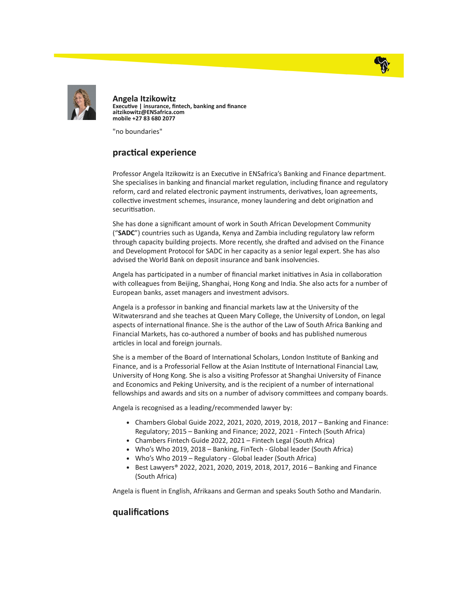



Angela Itzikowitz Executive | insurance, fintech, banking and finance aitzikowitz@ENSafrica.com mobile +27 83 680 2077

"no boundaries"

## practical experience

Professor Angela Itzikowitz is an Executive in ENSafrica's Banking and Finance department. She specialises in banking and financial market regulation, including finance and regulatory reform, card and related electronic payment instruments, derivatives, loan agreements, collective investment schemes, insurance, money laundering and debt origination and securitisation.

She has done a significant amount of work in South African Development Community ("SADC") countries such as Uganda, Kenya and Zambia including regulatory law reform through capacity building projects. More recently, she drafted and advised on the Finance and Development Protocol for SADC in her capacity as a senior legal expert. She has also advised the World Bank on deposit insurance and bank insolvencies.

Angela has participated in a number of financial market initiatives in Asia in collaboration with colleagues from Beijing, Shanghai, Hong Kong and India. She also acts for a number of European banks, asset managers and investment advisors.

Angela is a professor in banking and financial markets law at the University of the Witwatersrand and she teaches at Queen Mary College, the University of London, on legal aspects of international finance. She is the author of the Law of South Africa Banking and Financial Markets, has co-authored a number of books and has published numerous articles in local and foreign journals.

She is a member of the Board of International Scholars, London Institute of Banking and Finance, and is a Professorial Fellow at the Asian Institute of International Financial Law, University of Hong Kong. She is also a vising Professor at Shanghai University of Finance and Economics and Peking University, and is the recipient of a number of international fellowships and awards and sits on a number of advisory committees and company boards.

Angela is recognised as a leading/recommended lawyer by:

- $\bullet$  Chambers Global Guide 2022, 2021, 2020, 2019, 2018, 2017 Banking and Finance: Regulatory; 2015 – Banking and Finance; 2022, 2021 - Fintech (South Africa)
- Chambers Fintech Guide 2022, 2021 Fintech Legal (South Africa)
- Who's Who 2019, 2018 Banking, FinTech Global leader (South Africa)
- Who's Who 2019 Regulatory Global leader (South Africa)
- Best Lawyers® 2022, 2021, 2020, 2019, 2018, 2017, 2016 Banking and Finance (South Africa)

Angela is fluent in English, Afrikaans and German and speaks South Sotho and Mandarin.

## qualifications